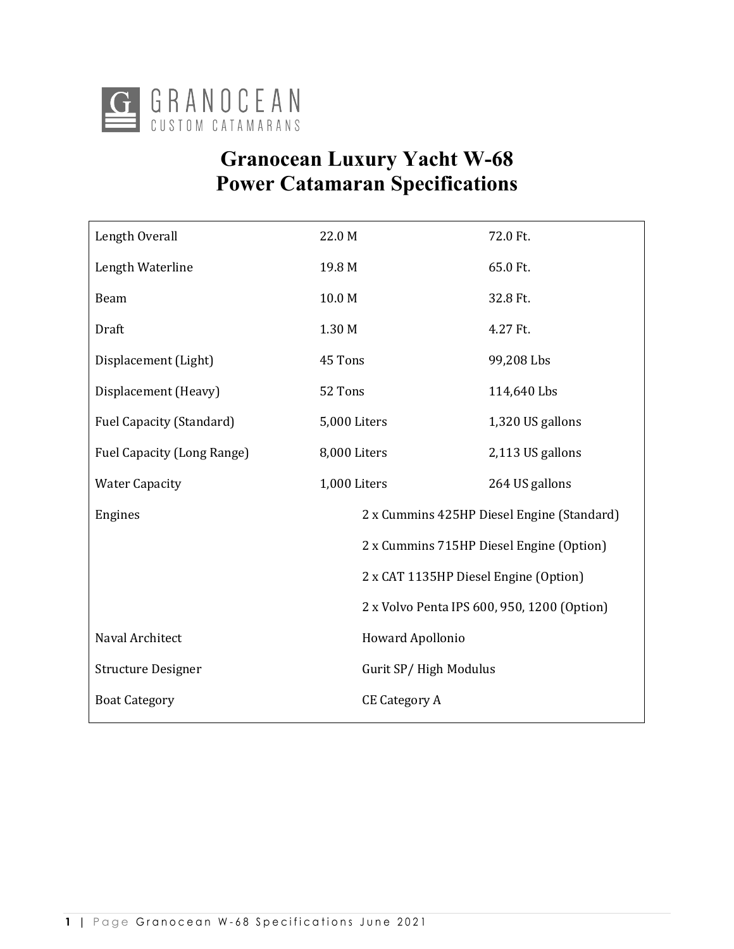

# **Granocean Luxury Yacht W-68 Power Catamaran Specifications**

| Length Overall                  | 22.0 M                                      | 72.0 Ft.         |
|---------------------------------|---------------------------------------------|------------------|
| Length Waterline                | 19.8 M                                      | 65.0 Ft.         |
| Beam                            | 10.0 M                                      | 32.8 Ft.         |
| Draft                           | 1.30 M                                      | 4.27 Ft.         |
| Displacement (Light)            | 45 Tons                                     | 99,208 Lbs       |
| Displacement (Heavy)            | 52 Tons                                     | 114,640 Lbs      |
| <b>Fuel Capacity (Standard)</b> | 5,000 Liters                                | 1,320 US gallons |
| Fuel Capacity (Long Range)      | 8,000 Liters                                | 2,113 US gallons |
| <b>Water Capacity</b>           | 1,000 Liters                                | 264 US gallons   |
| Engines                         | 2 x Cummins 425HP Diesel Engine (Standard)  |                  |
|                                 | 2 x Cummins 715HP Diesel Engine (Option)    |                  |
|                                 | 2 x CAT 1135HP Diesel Engine (Option)       |                  |
|                                 | 2 x Volvo Penta IPS 600, 950, 1200 (Option) |                  |
| Naval Architect                 | Howard Apollonio                            |                  |
| <b>Structure Designer</b>       | Gurit SP/High Modulus                       |                  |
| <b>Boat Category</b>            | <b>CE Category A</b>                        |                  |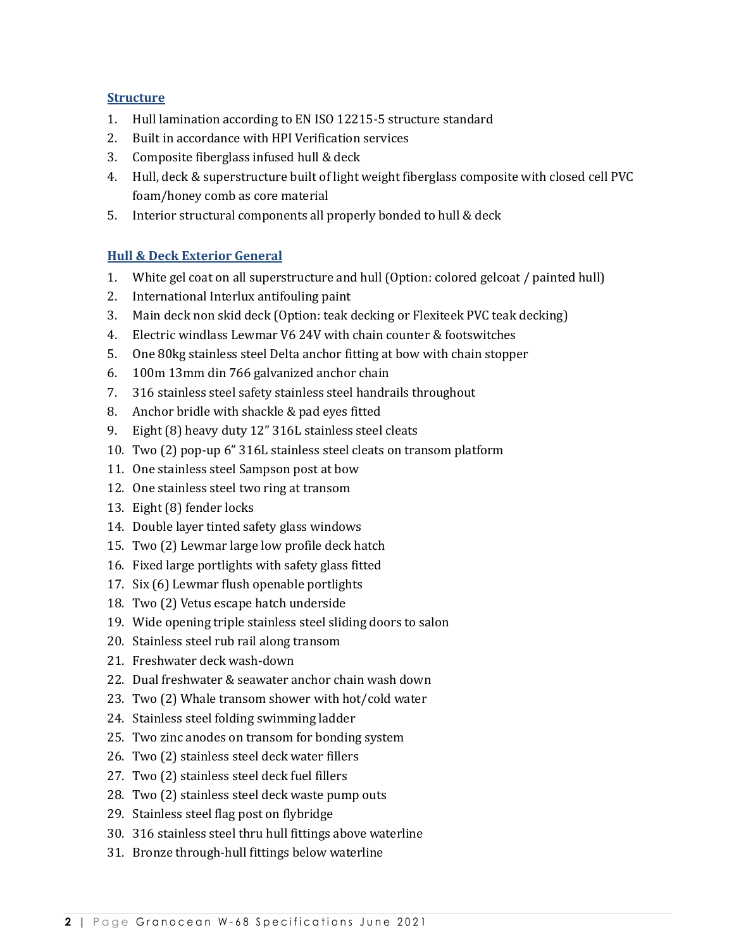#### **Structure**

- 1. Hull lamination according to EN ISO 12215-5 structure standard
- 2. Built in accordance with HPI Verification services
- 3. Composite fiberglass infused hull & deck
- 4. Hull, deck & superstructure built of light weight fiberglass composite with closed cell PVC foam/honey comb as core material
- 5. Interior structural components all properly bonded to hull & deck

#### **Hull & Deck Exterior General**

- 1. White gel coat on all superstructure and hull (Option: colored gelcoat / painted hull)
- 2. International Interlux antifouling paint
- 3. Main deck non skid deck (Option: teak decking or Flexiteek PVC teak decking)
- 4. Electric windlass Lewmar V6 24V with chain counter & footswitches
- 5. One 80kg stainless steel Delta anchor fitting at bow with chain stopper
- 6. 100m 13mm din 766 galvanized anchor chain
- 7. 316 stainless steel safety stainless steel handrails throughout
- 8. Anchor bridle with shackle & pad eyes fitted
- 9. Eight (8) heavy duty 12" 316L stainless steel cleats
- 10. Two (2) pop-up 6" 316L stainless steel cleats on transom platform
- 11. One stainless steel Sampson post at bow
- 12. One stainless steel two ring at transom
- 13. Eight (8) fender locks
- 14. Double layer tinted safety glass windows
- 15. Two (2) Lewmar large low profile deck hatch
- 16. Fixed large portlights with safety glass fitted
- 17. Six (6) Lewmar flush openable portlights
- 18. Two (2) Vetus escape hatch underside
- 19. Wide opening triple stainless steel sliding doors to salon
- 20. Stainless steel rub rail along transom
- 21. Freshwater deck wash-down
- 22. Dual freshwater & seawater anchor chain wash down
- 23. Two  $(2)$  Whale transom shower with hot/cold water
- 24. Stainless steel folding swimming ladder
- 25. Two zinc anodes on transom for bonding system
- 26. Two (2) stainless steel deck water fillers
- 27. Two (2) stainless steel deck fuel fillers
- 28. Two (2) stainless steel deck waste pump outs
- 29. Stainless steel flag post on flybridge
- 30. 316 stainless steel thru hull fittings above waterline
- 31. Bronze through-hull fittings below waterline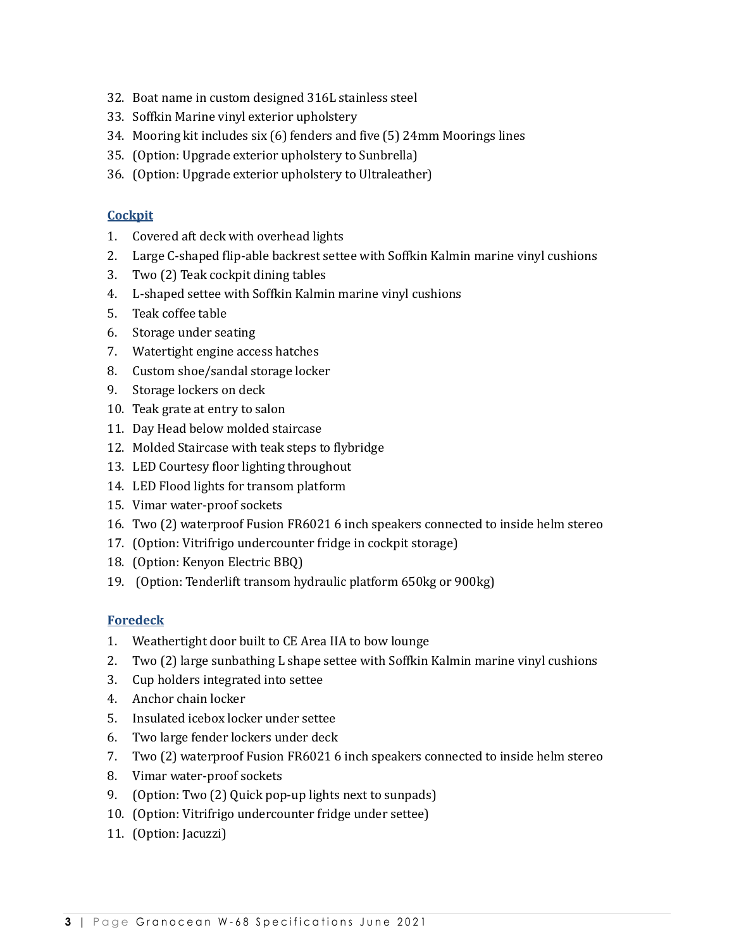- 32. Boat name in custom designed 316L stainless steel
- 33. Soffkin Marine vinyl exterior upholstery
- 34. Mooring kit includes  $\sin(6)$  fenders and five  $(5)$  24mm Moorings lines
- 35. (Option: Upgrade exterior upholstery to Sunbrella)
- 36. (Option: Upgrade exterior upholstery to Ultraleather)

#### **Cockpit**

- 1. Covered aft deck with overhead lights
- 2. Large C-shaped flip-able backrest settee with Soffkin Kalmin marine vinyl cushions
- 3. Two (2) Teak cockpit dining tables
- 4. L-shaped settee with Soffkin Kalmin marine vinyl cushions
- 5. Teak coffee table
- 6. Storage under seating
- 7. Watertight engine access hatches
- 8. Custom shoe/sandal storage locker
- 9. Storage lockers on deck
- 10. Teak grate at entry to salon
- 11. Day Head below molded staircase
- 12. Molded Staircase with teak steps to flybridge
- 13. LED Courtesy floor lighting throughout
- 14. LED Flood lights for transom platform
- 15. Vimar water-proof sockets
- 16. Two (2) waterproof Fusion FR6021 6 inch speakers connected to inside helm stereo
- 17. (Option: Vitrifrigo undercounter fridge in cockpit storage)
- 18. (Option: Kenyon Electric BBQ)
- 19. (Option: Tenderlift transom hydraulic platform 650kg or 900kg)

#### **Foredeck**

- 1. Weathertight door built to CE Area IIA to bow lounge
- 2. Two (2) large sunbathing L shape settee with Soffkin Kalmin marine vinyl cushions
- 3. Cup holders integrated into settee
- 4. Anchor chain locker
- 5. Insulated icebox locker under settee
- 6. Two large fender lockers under deck
- 7. Two (2) waterproof Fusion FR6021 6 inch speakers connected to inside helm stereo
- 8. Vimar water-proof sockets
- 9. (Option: Two (2) Quick pop-up lights next to sunpads)
- 10. (Option: Vitrifrigo undercounter fridge under settee)
- 11. (Option: Jacuzzi)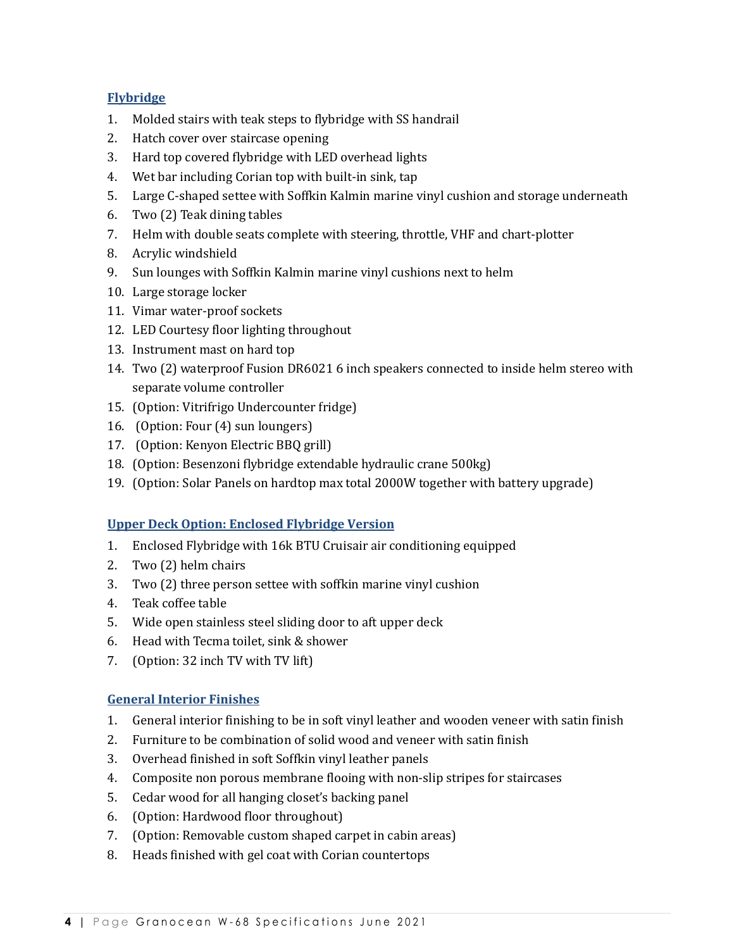# **Flybridge**

- 1. Molded stairs with teak steps to flybridge with SS handrail
- 2. Hatch cover over staircase opening
- 3. Hard top covered flybridge with LED overhead lights
- 4. Wet bar including Corian top with built-in sink, tap
- 5. Large C-shaped settee with Soffkin Kalmin marine vinyl cushion and storage underneath
- 6. Two  $(2)$  Teak dining tables
- 7. Helm with double seats complete with steering, throttle, VHF and chart-plotter
- 8. Acrylic windshield
- 9. Sun lounges with Soffkin Kalmin marine vinyl cushions next to helm
- 10. Large storage locker
- 11. Vimar water-proof sockets
- 12. LED Courtesy floor lighting throughout
- 13. Instrument mast on hard top
- 14. Two (2) waterproof Fusion DR6021 6 inch speakers connected to inside helm stereo with separate volume controller
- 15. (Option: Vitrifrigo Undercounter fridge)
- 16. (Option: Four  $(4)$  sun loungers)
- 17. (Option: Kenyon Electric BBQ grill)
- 18. (Option: Besenzoni flybridge extendable hydraulic crane 500kg)
- 19. (Option: Solar Panels on hardtop max total 2000W together with battery upgrade)

# **Upper Deck Option: Enclosed Flybridge Version**

- 1. Enclosed Flybridge with 16k BTU Cruisair air conditioning equipped
- 2. Two  $(2)$  helm chairs
- 3. Two (2) three person settee with soffkin marine vinyl cushion
- 4. Teak coffee table
- 5. Wide open stainless steel sliding door to aft upper deck
- 6. Head with Tecma toilet, sink & shower
- 7. (Option: 32 inch TV with TV lift)

## **General Interior Finishes**

- 1. General interior finishing to be in soft vinyl leather and wooden veneer with satin finish
- 2. Furniture to be combination of solid wood and veneer with satin finish
- 3. Overhead finished in soft Soffkin vinyl leather panels
- 4. Composite non porous membrane flooing with non-slip stripes for staircases
- 5. Cedar wood for all hanging closet's backing panel
- 6. (Option: Hardwood floor throughout)
- 7. (Option: Removable custom shaped carpet in cabin areas)
- 8. Heads finished with gel coat with Corian countertops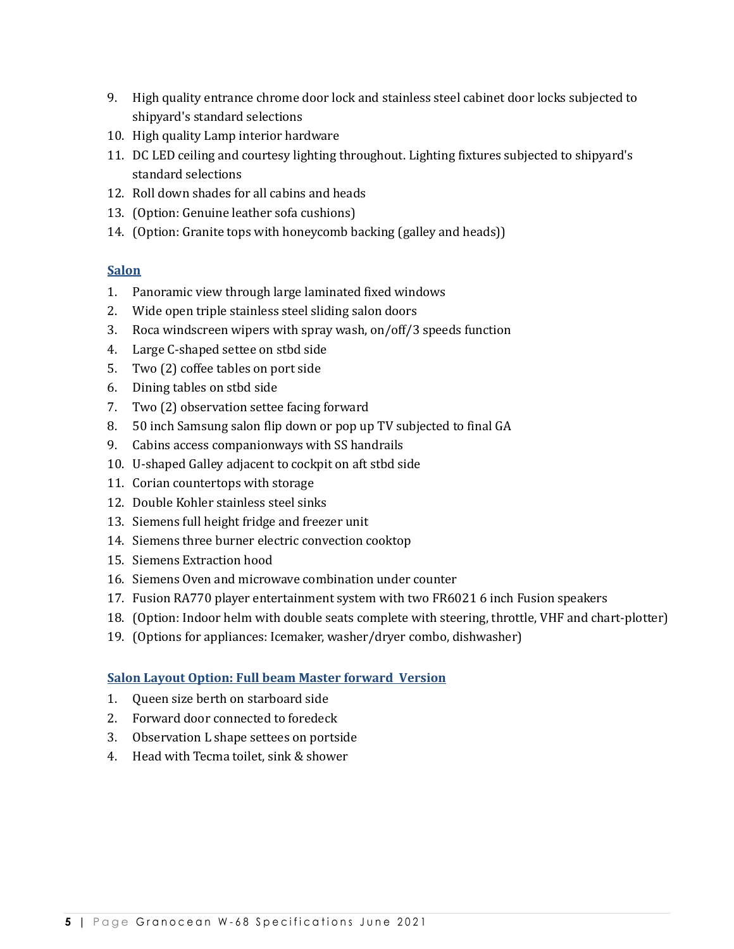- 9. High quality entrance chrome door lock and stainless steel cabinet door locks subjected to shipyard's standard selections
- 10. High quality Lamp interior hardware
- 11. DC LED ceiling and courtesy lighting throughout. Lighting fixtures subjected to shipyard's standard selections
- 12. Roll down shades for all cabins and heads
- 13. (Option: Genuine leather sofa cushions)
- 14. (Option: Granite tops with honeycomb backing (galley and heads))

## **Salon**

- 1. Panoramic view through large laminated fixed windows
- 2. Wide open triple stainless steel sliding salon doors
- 3. Roca windscreen wipers with spray wash, on/off/3 speeds function
- 4. Large C-shaped settee on stbd side
- 5. Two (2) coffee tables on port side
- 6. Dining tables on stbd side
- 7. Two (2) observation settee facing forward
- 8. 50 inch Samsung salon flip down or pop up TV subjected to final GA
- 9. Cabins access companionways with SS handrails
- 10. U-shaped Galley adjacent to cockpit on aft stbd side
- 11. Corian countertops with storage
- 12. Double Kohler stainless steel sinks
- 13. Siemens full height fridge and freezer unit
- 14. Siemens three burner electric convection cooktop
- 15. Siemens Extraction hood
- 16. Siemens Oven and microwave combination under counter
- 17. Fusion RA770 player entertainment system with two FR6021 6 inch Fusion speakers
- 18. (Option: Indoor helm with double seats complete with steering, throttle, VHF and chart-plotter)
- 19. (Options for appliances: Icemaker, washer/dryer combo, dishwasher)

# **<u>Salon Lavout Option: Full beam Master forward Version</u>**

- 1. Oueen size berth on starboard side
- 2. Forward door connected to foredeck
- 3. Observation L shape settees on portside
- 4. Head with Tecma toilet, sink & shower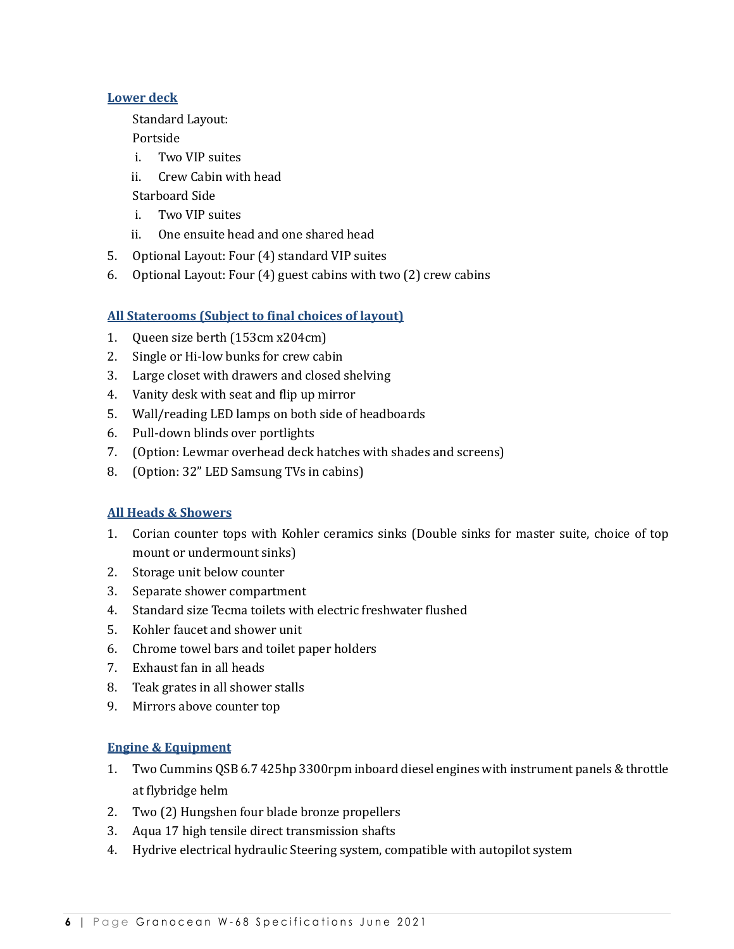## Lower deck

Standard Layout: 

Portside

- i. Two VIP suites
- ii. Crew Cabin with head

Starboard Side

- i. Two VIP suites
- ii. One ensuite head and one shared head
- 5. Optional Layout: Four (4) standard VIP suites
- 6. Optional Layout: Four  $(4)$  guest cabins with two  $(2)$  crew cabins

# **All Staterooms (Subject to final choices of layout)**

- 1. Queen size berth (153cm x204cm)
- 2. Single or Hi-low bunks for crew cabin
- 3. Large closet with drawers and closed shelving
- 4. Vanity desk with seat and flip up mirror
- 5. Wall/reading LED lamps on both side of headboards
- 6. Pull-down blinds over portlights
- 7. (Option: Lewmar overhead deck hatches with shades and screens)
- 8. (Option: 32" LED Samsung TVs in cabins)

## **All Heads & Showers**

- 1. Corian counter tops with Kohler ceramics sinks (Double sinks for master suite, choice of top mount or undermount sinks)
- 2. Storage unit below counter
- 3. Separate shower compartment
- 4. Standard size Tecma toilets with electric freshwater flushed
- 5. Kohler faucet and shower unit
- 6. Chrome towel bars and toilet paper holders
- 7. Exhaust fan in all heads
- 8. Teak grates in all shower stalls
- 9. Mirrors above counter top

# **Engine & Equipment**

- 1. Two Cummins QSB 6.7 425hp 3300rpm inboard diesel engines with instrument panels & throttle at flybridge helm
- 2. Two (2) Hungshen four blade bronze propellers
- 3. Aqua 17 high tensile direct transmission shafts
- 4. Hydrive electrical hydraulic Steering system, compatible with autopilot system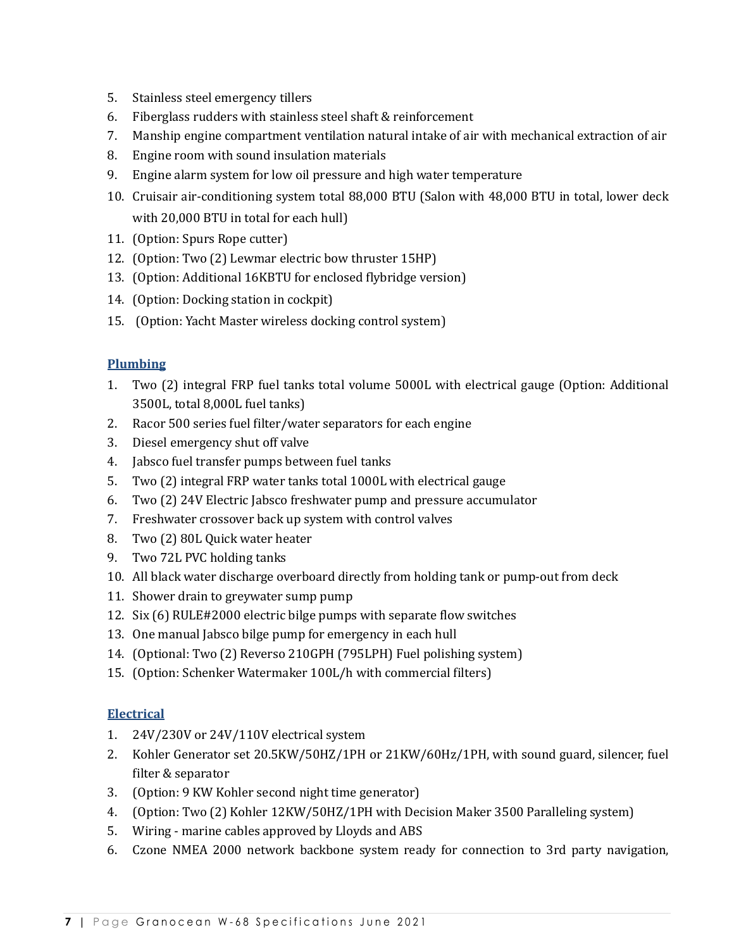- 5. Stainless steel emergency tillers
- 6. Fiberglass rudders with stainless steel shaft & reinforcement
- 7. Manship engine compartment ventilation natural intake of air with mechanical extraction of air
- 8. Engine room with sound insulation materials
- 9. Engine alarm system for low oil pressure and high water temperature
- 10. Cruisair air-conditioning system total 88,000 BTU (Salon with 48,000 BTU in total, lower deck with 20,000 BTU in total for each hull)
- 11. (Option: Spurs Rope cutter)
- 12. (Option: Two (2) Lewmar electric bow thruster 15HP)
- 13. (Option: Additional 16KBTU for enclosed flybridge version)
- 14. (Option: Docking station in cockpit)
- 15. (Option: Yacht Master wireless docking control system)

# **Plumbing**

- 1. Two (2) integral FRP fuel tanks total volume 5000L with electrical gauge (Option: Additional 3500L, total 8,000L fuel tanks)
- 2. Racor 500 series fuel filter/water separators for each engine
- 3. Diesel emergency shut off valve
- 4. Jabsco fuel transfer pumps between fuel tanks
- 5. Two (2) integral FRP water tanks total 1000L with electrical gauge
- 6. Two (2) 24V Electric Jabsco freshwater pump and pressure accumulator
- 7. Freshwater crossover back up system with control valves
- 8. Two (2) 80L Quick water heater
- 9. Two 72L PVC holding tanks
- 10. All black water discharge overboard directly from holding tank or pump-out from deck
- 11. Shower drain to greywater sump pump
- 12. Six (6) RULE#2000 electric bilge pumps with separate flow switches
- 13. One manual Jabsco bilge pump for emergency in each hull
- 14. (Optional: Two (2) Reverso 210GPH (795LPH) Fuel polishing system)
- 15. (Option: Schenker Watermaker 100L/h with commercial filters)

## **Electrical**

- 1. 24V/230V or 24V/110V electrical system
- 2. Kohler Generator set 20.5KW/50HZ/1PH or 21KW/60Hz/1PH, with sound guard, silencer, fuel filter & separator
- 3. (Option: 9 KW Kohler second night time generator)
- 4. (Option: Two (2) Kohler 12KW/50HZ/1PH with Decision Maker 3500 Paralleling system)
- 5. Wiring marine cables approved by Lloyds and ABS
- 6. Czone NMEA 2000 network backbone system ready for connection to 3rd party navigation,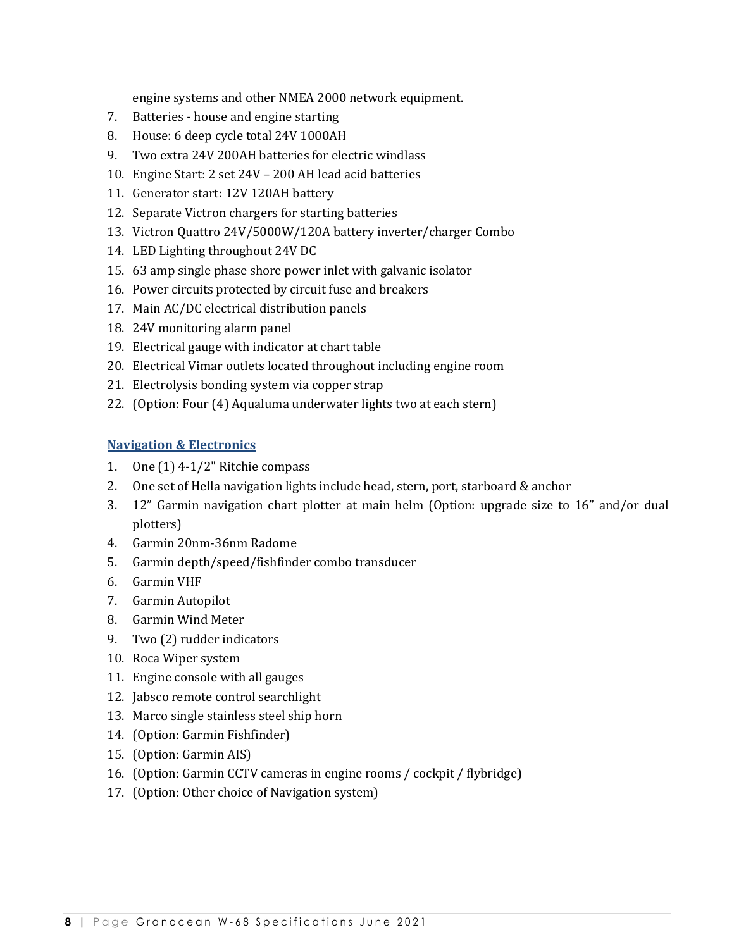engine systems and other NMEA 2000 network equipment.

- 7. Batteries house and engine starting
- 8. House: 6 deep cycle total 24V 1000AH
- 9. Two extra 24V 200AH batteries for electric windlass
- 10. Engine Start: 2 set 24V 200 AH lead acid batteries
- 11. Generator start: 12V 120AH battery
- 12. Separate Victron chargers for starting batteries
- 13. Victron Quattro 24V/5000W/120A battery inverter/charger Combo
- 14. LED Lighting throughout 24V DC
- 15. 63 amp single phase shore power inlet with galvanic isolator
- 16. Power circuits protected by circuit fuse and breakers
- 17. Main AC/DC electrical distribution panels
- 18. 24V monitoring alarm panel
- 19. Electrical gauge with indicator at chart table
- 20. Electrical Vimar outlets located throughout including engine room
- 21. Electrolysis bonding system via copper strap
- 22. (Option: Four (4) Aqualuma underwater lights two at each stern)

#### **Navigation & Electronics**

- 1. One  $(1)$  4-1/2" Ritchie compass
- 2. One set of Hella navigation lights include head, stern, port, starboard & anchor
- 3. 12" Garmin navigation chart plotter at main helm (Option: upgrade size to 16" and/or dual plotters)
- 4. Garmin 20nm-36nm Radome
- 5. Garmin depth/speed/fishfinder combo transducer
- 6. Garmin VHF
- 7. Garmin Autopilot
- 8. Garmin Wind Meter
- 9. Two (2) rudder indicators
- 10. Roca Wiper system
- 11. Engine console with all gauges
- 12. Jabsco remote control searchlight
- 13. Marco single stainless steel ship horn
- 14. (Option: Garmin Fishfinder)
- 15. (Option: Garmin AIS)
- 16. (Option: Garmin CCTV cameras in engine rooms / cockpit / flybridge)
- 17. (Option: Other choice of Navigation system)